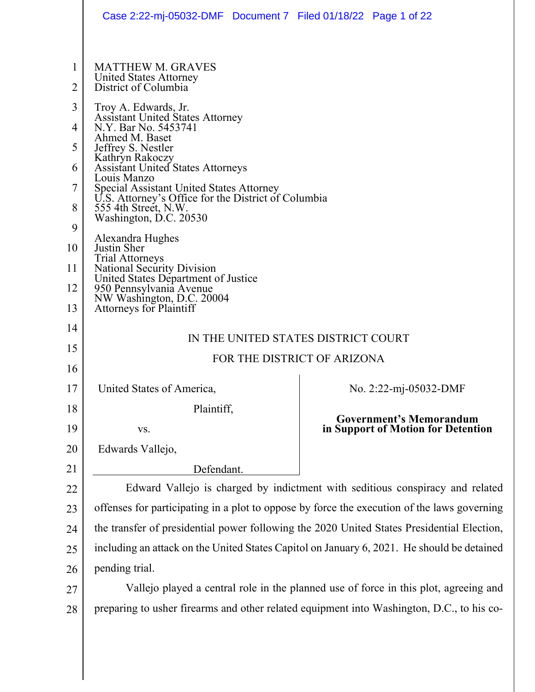|                                                             | Case 2:22-mj-05032-DMF  Document 7  Filed 01/18/22  Page 1 of 22                                                                                                                                                                                                                                                                                                                                                                                                                                                                                                                                                                                  |                                                                                           |  |  |  |
|-------------------------------------------------------------|---------------------------------------------------------------------------------------------------------------------------------------------------------------------------------------------------------------------------------------------------------------------------------------------------------------------------------------------------------------------------------------------------------------------------------------------------------------------------------------------------------------------------------------------------------------------------------------------------------------------------------------------------|-------------------------------------------------------------------------------------------|--|--|--|
| 1<br>2<br>3<br>4<br>5<br>6<br>7<br>8<br>9<br>10<br>11<br>12 | <b>MATTHEW M. GRAVES</b><br>United States Attorney<br>District of Columbia<br>Troy A. Edwards, Jr.<br><b>Assistant United States Attorney</b><br>N.Y. Bar No. 5453741<br>Ahmed M. Baset<br>Jeffrey S. Nestler<br>Kathryn Rakoczy<br><b>Assistant United States Attorneys</b><br>Louis Manzo<br>Special Assistant United States Attorney<br>U.S. Attorney's Office for the District of Columbia<br>555 4th Street, N.W.<br>Washington, D.C. 20530<br>Alexandra Hughes<br>Justin Sher<br><b>Trial Attorneys</b><br><b>National Security Division</b><br>United States Department of Justice<br>950 Pennsylvania Avenue<br>NW Washington, D.C. 20004 |                                                                                           |  |  |  |
| 13<br>14<br>15<br>16                                        | <b>Attorneys for Plaintiff</b><br>IN THE UNITED STATES DISTRICT COURT<br>FOR THE DISTRICT OF ARIZONA                                                                                                                                                                                                                                                                                                                                                                                                                                                                                                                                              |                                                                                           |  |  |  |
| 17                                                          | United States of America,                                                                                                                                                                                                                                                                                                                                                                                                                                                                                                                                                                                                                         | No. 2:22-mj-05032-DMF                                                                     |  |  |  |
| 18                                                          | Plaintiff,                                                                                                                                                                                                                                                                                                                                                                                                                                                                                                                                                                                                                                        |                                                                                           |  |  |  |
| 19                                                          | VS.                                                                                                                                                                                                                                                                                                                                                                                                                                                                                                                                                                                                                                               | <b>Government's Memorandum</b><br>in Support of Motion for Detention                      |  |  |  |
| 20                                                          | Edwards Vallejo,                                                                                                                                                                                                                                                                                                                                                                                                                                                                                                                                                                                                                                  |                                                                                           |  |  |  |
| 21                                                          | Defendant.                                                                                                                                                                                                                                                                                                                                                                                                                                                                                                                                                                                                                                        |                                                                                           |  |  |  |
| 22                                                          | Edward Vallejo is charged by indictment with seditious conspiracy and related                                                                                                                                                                                                                                                                                                                                                                                                                                                                                                                                                                     |                                                                                           |  |  |  |
| 23                                                          | offenses for participating in a plot to oppose by force the execution of the laws governing                                                                                                                                                                                                                                                                                                                                                                                                                                                                                                                                                       |                                                                                           |  |  |  |
| 24                                                          | the transfer of presidential power following the 2020 United States Presidential Election,                                                                                                                                                                                                                                                                                                                                                                                                                                                                                                                                                        |                                                                                           |  |  |  |
| 25                                                          | including an attack on the United States Capitol on January 6, 2021. He should be detained                                                                                                                                                                                                                                                                                                                                                                                                                                                                                                                                                        |                                                                                           |  |  |  |
| 26                                                          | pending trial.                                                                                                                                                                                                                                                                                                                                                                                                                                                                                                                                                                                                                                    |                                                                                           |  |  |  |
| 27                                                          | Vallejo played a central role in the planned use of force in this plot, agreeing and                                                                                                                                                                                                                                                                                                                                                                                                                                                                                                                                                              |                                                                                           |  |  |  |
| 28                                                          |                                                                                                                                                                                                                                                                                                                                                                                                                                                                                                                                                                                                                                                   | preparing to usher firearms and other related equipment into Washington, D.C., to his co- |  |  |  |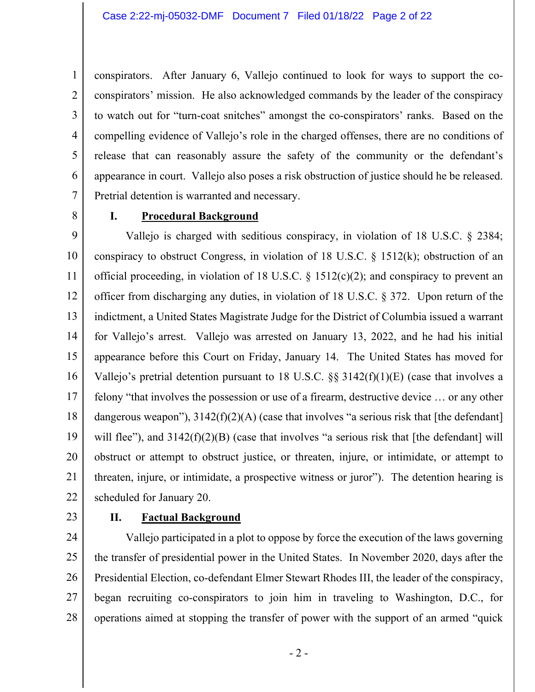conspirators. After January 6, Vallejo continued to look for ways to support the coconspirators' mission. He also acknowledged commands by the leader of the conspiracy to watch out for "turn-coat snitches" amongst the co-conspirators' ranks. Based on the compelling evidence of Vallejo's role in the charged offenses, there are no conditions of release that can reasonably assure the safety of the community or the defendant's appearance in court. Vallejo also poses a risk obstruction of justice should he be released. Pretrial detention is warranted and necessary.

8

1

2

3

4

5

6

7

#### **I. Procedural Background**

9 10 11 12 13 14 15 16 17 18 19 20 21 22 Vallejo is charged with seditious conspiracy, in violation of 18 U.S.C. § 2384; conspiracy to obstruct Congress, in violation of 18 U.S.C. § 1512(k); obstruction of an official proceeding, in violation of 18 U.S.C.  $\S$  1512(c)(2); and conspiracy to prevent an officer from discharging any duties, in violation of 18 U.S.C. § 372. Upon return of the indictment, a United States Magistrate Judge for the District of Columbia issued a warrant for Vallejo's arrest. Vallejo was arrested on January 13, 2022, and he had his initial appearance before this Court on Friday, January 14. The United States has moved for Vallejo's pretrial detention pursuant to 18 U.S.C.  $\S$ § 3142(f)(1)(E) (case that involves a felony "that involves the possession or use of a firearm, destructive device … or any other dangerous weapon"),  $3142(f)(2)(A)$  (case that involves "a serious risk that [the defendant] will flee"), and  $3142(f)(2)(B)$  (case that involves "a serious risk that [the defendant] will obstruct or attempt to obstruct justice, or threaten, injure, or intimidate, or attempt to threaten, injure, or intimidate, a prospective witness or juror"). The detention hearing is scheduled for January 20.

23

#### **II. Factual Background**

24 25 26 27 28 Vallejo participated in a plot to oppose by force the execution of the laws governing the transfer of presidential power in the United States. In November 2020, days after the Presidential Election, co-defendant Elmer Stewart Rhodes III, the leader of the conspiracy, began recruiting co-conspirators to join him in traveling to Washington, D.C., for operations aimed at stopping the transfer of power with the support of an armed "quick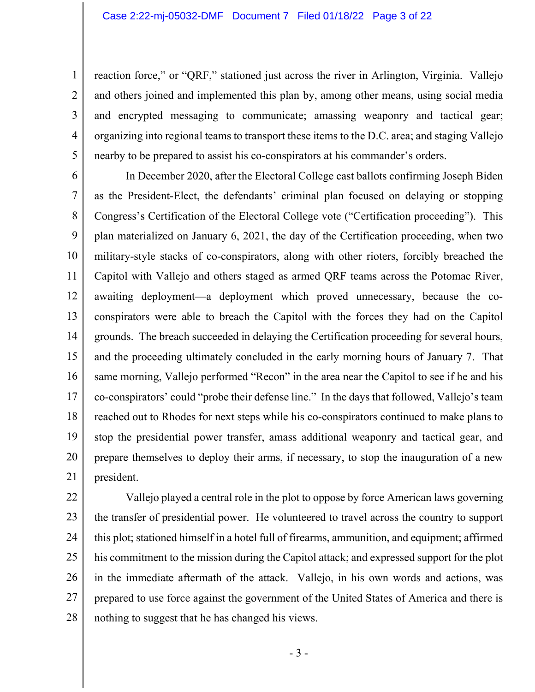2

3

4

5

reaction force," or "QRF," stationed just across the river in Arlington, Virginia. Vallejo and others joined and implemented this plan by, among other means, using social media and encrypted messaging to communicate; amassing weaponry and tactical gear; organizing into regional teams to transport these items to the D.C. area; and staging Vallejo nearby to be prepared to assist his co-conspirators at his commander's orders.

6 7 8 9 10 11 12 13 14 15 16 17 18 19 20 21 In December 2020, after the Electoral College cast ballots confirming Joseph Biden as the President-Elect, the defendants' criminal plan focused on delaying or stopping Congress's Certification of the Electoral College vote ("Certification proceeding"). This plan materialized on January 6, 2021, the day of the Certification proceeding, when two military-style stacks of co-conspirators, along with other rioters, forcibly breached the Capitol with Vallejo and others staged as armed QRF teams across the Potomac River, awaiting deployment—a deployment which proved unnecessary, because the coconspirators were able to breach the Capitol with the forces they had on the Capitol grounds. The breach succeeded in delaying the Certification proceeding for several hours, and the proceeding ultimately concluded in the early morning hours of January 7. That same morning, Vallejo performed "Recon" in the area near the Capitol to see if he and his co-conspirators' could "probe their defense line." In the days that followed, Vallejo's team reached out to Rhodes for next steps while his co-conspirators continued to make plans to stop the presidential power transfer, amass additional weaponry and tactical gear, and prepare themselves to deploy their arms, if necessary, to stop the inauguration of a new president.

22 23 24 25 26 27 28 Vallejo played a central role in the plot to oppose by force American laws governing the transfer of presidential power. He volunteered to travel across the country to support this plot; stationed himself in a hotel full of firearms, ammunition, and equipment; affirmed his commitment to the mission during the Capitol attack; and expressed support for the plot in the immediate aftermath of the attack. Vallejo, in his own words and actions, was prepared to use force against the government of the United States of America and there is nothing to suggest that he has changed his views.

- 3 -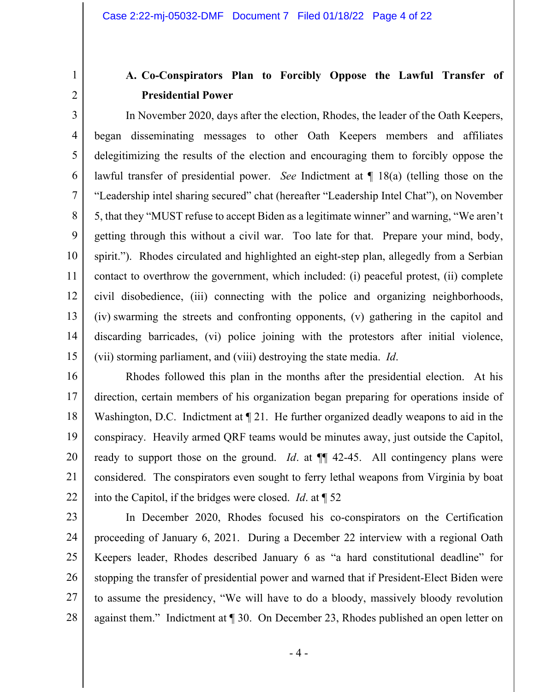## **A. Co-Conspirators Plan to Forcibly Oppose the Lawful Transfer of Presidential Power**

3 4 5 6 7 8 9 10 11 12 13 14 15 In November 2020, days after the election, Rhodes, the leader of the Oath Keepers, began disseminating messages to other Oath Keepers members and affiliates delegitimizing the results of the election and encouraging them to forcibly oppose the lawful transfer of presidential power. *See* Indictment at ¶ 18(a) (telling those on the "Leadership intel sharing secured" chat (hereafter "Leadership Intel Chat"), on November 5, that they "MUST refuse to accept Biden as a legitimate winner" and warning, "We aren't getting through this without a civil war. Too late for that. Prepare your mind, body, spirit."). Rhodes circulated and highlighted an eight-step plan, allegedly from a Serbian contact to overthrow the government, which included: (i) peaceful protest, (ii) complete civil disobedience, (iii) connecting with the police and organizing neighborhoods, (iv) swarming the streets and confronting opponents, (v) gathering in the capitol and discarding barricades, (vi) police joining with the protestors after initial violence, (vii) storming parliament, and (viii) destroying the state media. *Id*.

16 17 18 19 20 21 22 Rhodes followed this plan in the months after the presidential election. At his direction, certain members of his organization began preparing for operations inside of Washington, D.C. Indictment at  $\P$  21. He further organized deadly weapons to aid in the conspiracy. Heavily armed QRF teams would be minutes away, just outside the Capitol, ready to support those on the ground. *Id*. at ¶¶ 42-45. All contingency plans were considered. The conspirators even sought to ferry lethal weapons from Virginia by boat into the Capitol, if the bridges were closed. *Id*. at ¶ 52

23 24 25 26 27 28 In December 2020, Rhodes focused his co-conspirators on the Certification proceeding of January 6, 2021. During a December 22 interview with a regional Oath Keepers leader, Rhodes described January 6 as "a hard constitutional deadline" for stopping the transfer of presidential power and warned that if President-Elect Biden were to assume the presidency, "We will have to do a bloody, massively bloody revolution against them." Indictment at ¶ 30. On December 23, Rhodes published an open letter on

- 4 -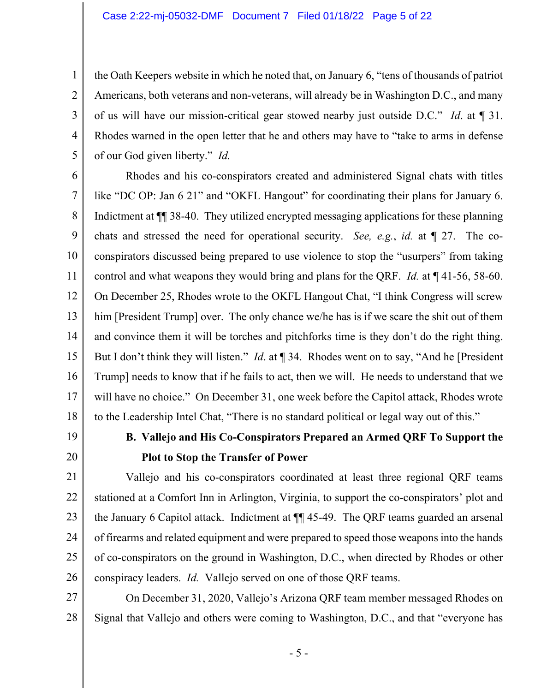#### Case 2:22-mj-05032-DMF Document 7 Filed 01/18/22 Page 5 of 22

the Oath Keepers website in which he noted that, on January 6, "tens of thousands of patriot Americans, both veterans and non-veterans, will already be in Washington D.C., and many of us will have our mission-critical gear stowed nearby just outside D.C." *Id*. at ¶ 31. Rhodes warned in the open letter that he and others may have to "take to arms in defense of our God given liberty." *Id.*

6 7 8 9 10 11 12 13 14 15 16 17 18 Rhodes and his co-conspirators created and administered Signal chats with titles like "DC OP: Jan 6 21" and "OKFL Hangout" for coordinating their plans for January 6. Indictment at  $\P$  38-40. They utilized encrypted messaging applications for these planning chats and stressed the need for operational security. *See, e.g.*, *id.* at ¶ 27. The coconspirators discussed being prepared to use violence to stop the "usurpers" from taking control and what weapons they would bring and plans for the QRF. *Id.* at ¶ 41-56, 58-60. On December 25, Rhodes wrote to the OKFL Hangout Chat, "I think Congress will screw him [President Trump] over. The only chance we/he has is if we scare the shit out of them and convince them it will be torches and pitchforks time is they don't do the right thing. But I don't think they will listen." *Id*. at ¶ 34. Rhodes went on to say, "And he [President Trump] needs to know that if he fails to act, then we will. He needs to understand that we will have no choice." On December 31, one week before the Capitol attack, Rhodes wrote to the Leadership Intel Chat, "There is no standard political or legal way out of this."

19

20

1

2

3

4

5

## **B. Vallejo and His Co-Conspirators Prepared an Armed QRF To Support the Plot to Stop the Transfer of Power**

21 22 23 24 25 26 Vallejo and his co-conspirators coordinated at least three regional QRF teams stationed at a Comfort Inn in Arlington, Virginia, to support the co-conspirators' plot and the January 6 Capitol attack. Indictment at ¶¶ 45-49. The QRF teams guarded an arsenal of firearms and related equipment and were prepared to speed those weapons into the hands of co-conspirators on the ground in Washington, D.C., when directed by Rhodes or other conspiracy leaders. *Id.* Vallejo served on one of those QRF teams.

27 28 On December 31, 2020, Vallejo's Arizona QRF team member messaged Rhodes on Signal that Vallejo and others were coming to Washington, D.C., and that "everyone has

- 5 -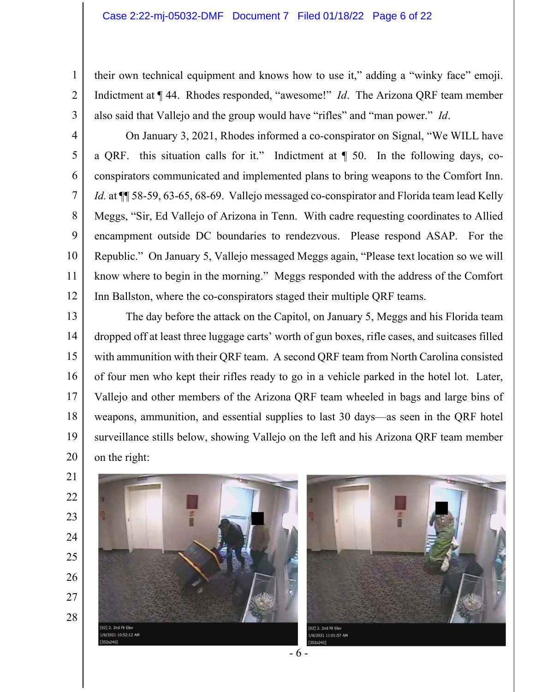their own technical equipment and knows how to use it," adding a "winky face" emoji. Indictment at ¶ 44. Rhodes responded, "awesome!" *Id*. The Arizona QRF team member also said that Vallejo and the group would have "rifles" and "man power." *Id*.

6 On January 3, 2021, Rhodes informed a co-conspirator on Signal, "We WILL have a QRF. this situation calls for it." Indictment at ¶ 50. In the following days, coconspirators communicated and implemented plans to bring weapons to the Comfort Inn. *Id.* at  $\P$  58-59, 63-65, 68-69. Vallejo messaged co-conspirator and Florida team lead Kelly Meggs, "Sir, Ed Vallejo of Arizona in Tenn. With cadre requesting coordinates to Allied encampment outside DC boundaries to rendezvous. Please respond ASAP. For the Republic." On January 5, Vallejo messaged Meggs again, "Please text location so we will know where to begin in the morning." Meggs responded with the address of the Comfort Inn Ballston, where the co-conspirators staged their multiple QRF teams.

13 14 15 16 17 18 19 20 The day before the attack on the Capitol, on January 5, Meggs and his Florida team dropped off at least three luggage carts' worth of gun boxes, rifle cases, and suitcases filled with ammunition with their QRF team. A second QRF team from North Carolina consisted of four men who kept their rifles ready to go in a vehicle parked in the hotel lot. Later, Vallejo and other members of the Arizona QRF team wheeled in bags and large bins of weapons, ammunition, and essential supplies to last 30 days—as seen in the QRF hotel surveillance stills below, showing Vallejo on the left and his Arizona QRF team member on the right:



1

2

3

4

5

7

8

9

10

11

12

- 23 24
- 25
- 26
- 27

28

02] 2. 2nd Fir Elev

/6/2021 10:52:12 AM



- 6 -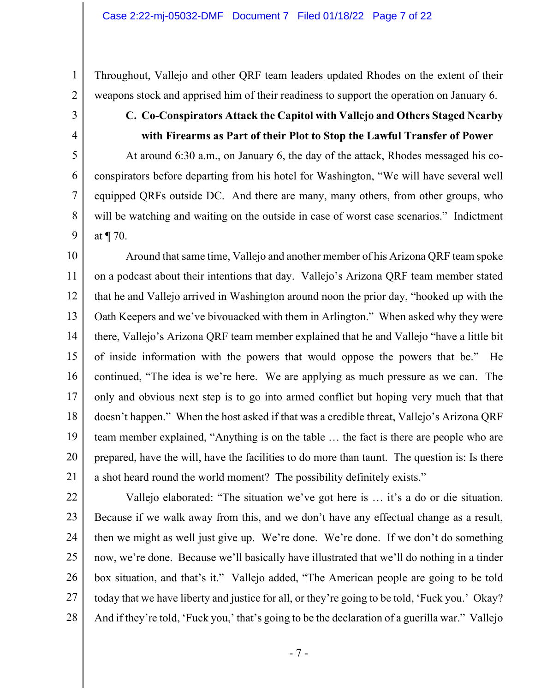Throughout, Vallejo and other QRF team leaders updated Rhodes on the extent of their weapons stock and apprised him of their readiness to support the operation on January 6.

3 4

5

6

7

8

9

1

2

# **C. Co-Conspirators Attack the Capitol with Vallejo and Others Staged Nearby with Firearms as Part of their Plot to Stop the Lawful Transfer of Power**

At around 6:30 a.m., on January 6, the day of the attack, Rhodes messaged his coconspirators before departing from his hotel for Washington, "We will have several well equipped QRFs outside DC. And there are many, many others, from other groups, who will be watching and waiting on the outside in case of worst case scenarios." Indictment at ¶ 70.

10 11 12 13 14 15 16 17 18 19 20 21 Around that same time, Vallejo and another member of his Arizona QRF team spoke on a podcast about their intentions that day. Vallejo's Arizona QRF team member stated that he and Vallejo arrived in Washington around noon the prior day, "hooked up with the Oath Keepers and we've bivouacked with them in Arlington." When asked why they were there, Vallejo's Arizona QRF team member explained that he and Vallejo "have a little bit of inside information with the powers that would oppose the powers that be." He continued, "The idea is we're here. We are applying as much pressure as we can. The only and obvious next step is to go into armed conflict but hoping very much that that doesn't happen." When the host asked if that was a credible threat, Vallejo's Arizona QRF team member explained, "Anything is on the table … the fact is there are people who are prepared, have the will, have the facilities to do more than taunt. The question is: Is there a shot heard round the world moment? The possibility definitely exists."

22 23 24 25 26 27 28 Vallejo elaborated: "The situation we've got here is … it's a do or die situation. Because if we walk away from this, and we don't have any effectual change as a result, then we might as well just give up. We're done. We're done. If we don't do something now, we're done. Because we'll basically have illustrated that we'll do nothing in a tinder box situation, and that's it." Vallejo added, "The American people are going to be told today that we have liberty and justice for all, or they're going to be told, 'Fuck you.' Okay? And if they're told, 'Fuck you,' that's going to be the declaration of a guerilla war." Vallejo

- 7 -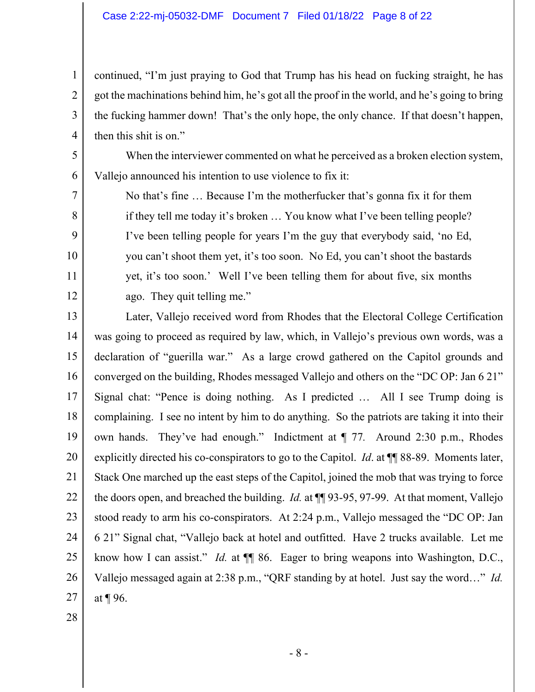#### Case 2:22-mj-05032-DMF Document 7 Filed 01/18/22 Page 8 of 22

continued, "I'm just praying to God that Trump has his head on fucking straight, he has got the machinations behind him, he's got all the proof in the world, and he's going to bring the fucking hammer down! That's the only hope, the only chance. If that doesn't happen, then this shit is on."

When the interviewer commented on what he perceived as a broken election system, Vallejo announced his intention to use violence to fix it:

No that's fine … Because I'm the motherfucker that's gonna fix it for them if they tell me today it's broken … You know what I've been telling people? I've been telling people for years I'm the guy that everybody said, 'no Ed, you can't shoot them yet, it's too soon. No Ed, you can't shoot the bastards yet, it's too soon.' Well I've been telling them for about five, six months ago. They quit telling me."

13 14 15 16 17 18 19 20 21 22 23 24 25 26 27 Later, Vallejo received word from Rhodes that the Electoral College Certification was going to proceed as required by law, which, in Vallejo's previous own words, was a declaration of "guerilla war." As a large crowd gathered on the Capitol grounds and converged on the building, Rhodes messaged Vallejo and others on the "DC OP: Jan 6 21" Signal chat: "Pence is doing nothing. As I predicted … All I see Trump doing is complaining. I see no intent by him to do anything. So the patriots are taking it into their own hands. They've had enough." Indictment at ¶ 77*.* Around 2:30 p.m., Rhodes explicitly directed his co-conspirators to go to the Capitol. *Id*. at ¶¶ 88-89. Moments later, Stack One marched up the east steps of the Capitol, joined the mob that was trying to force the doors open, and breached the building. *Id.* at ¶¶ 93-95, 97-99. At that moment, Vallejo stood ready to arm his co-conspirators. At 2:24 p.m., Vallejo messaged the "DC OP: Jan 6 21" Signal chat, "Vallejo back at hotel and outfitted. Have 2 trucks available. Let me know how I can assist." *Id.* at  $\P$  86. Eager to bring weapons into Washington, D.C., Vallejo messaged again at 2:38 p.m., "QRF standing by at hotel. Just say the word…" *Id.* at ¶ 96.

28

1

2

3

4

5

6

7

8

9

10

11

12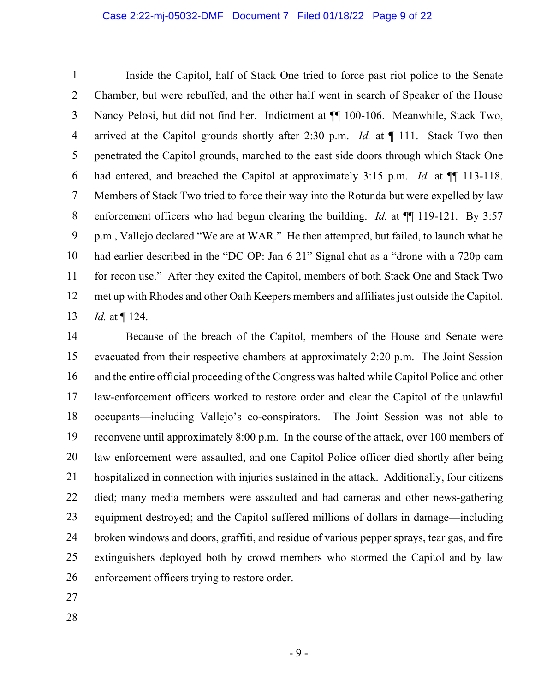1 2 3 4 5 6 7 8 9 10 11 12 13 Inside the Capitol, half of Stack One tried to force past riot police to the Senate Chamber, but were rebuffed, and the other half went in search of Speaker of the House Nancy Pelosi, but did not find her. Indictment at ¶¶ 100-106. Meanwhile, Stack Two, arrived at the Capitol grounds shortly after 2:30 p.m. *Id.* at ¶ 111. Stack Two then penetrated the Capitol grounds, marched to the east side doors through which Stack One had entered, and breached the Capitol at approximately 3:15 p.m. *Id.* at ¶¶ 113-118. Members of Stack Two tried to force their way into the Rotunda but were expelled by law enforcement officers who had begun clearing the building. *Id.* at  $\P$  119-121. By 3:57 p.m., Vallejo declared "We are at WAR." He then attempted, but failed, to launch what he had earlier described in the "DC OP: Jan 6 21" Signal chat as a "drone with a 720p cam for recon use." After they exited the Capitol, members of both Stack One and Stack Two met up with Rhodes and other Oath Keepers members and affiliates just outside the Capitol. *Id.* at ¶ 124.

14 15 16 17 18 19 20 21 22 23 24 25 26 Because of the breach of the Capitol, members of the House and Senate were evacuated from their respective chambers at approximately 2:20 p.m. The Joint Session and the entire official proceeding of the Congress was halted while Capitol Police and other law-enforcement officers worked to restore order and clear the Capitol of the unlawful occupants—including Vallejo's co-conspirators. The Joint Session was not able to reconvene until approximately 8:00 p.m. In the course of the attack, over 100 members of law enforcement were assaulted, and one Capitol Police officer died shortly after being hospitalized in connection with injuries sustained in the attack. Additionally, four citizens died; many media members were assaulted and had cameras and other news-gathering equipment destroyed; and the Capitol suffered millions of dollars in damage—including broken windows and doors, graffiti, and residue of various pepper sprays, tear gas, and fire extinguishers deployed both by crowd members who stormed the Capitol and by law enforcement officers trying to restore order.

- 27
- 28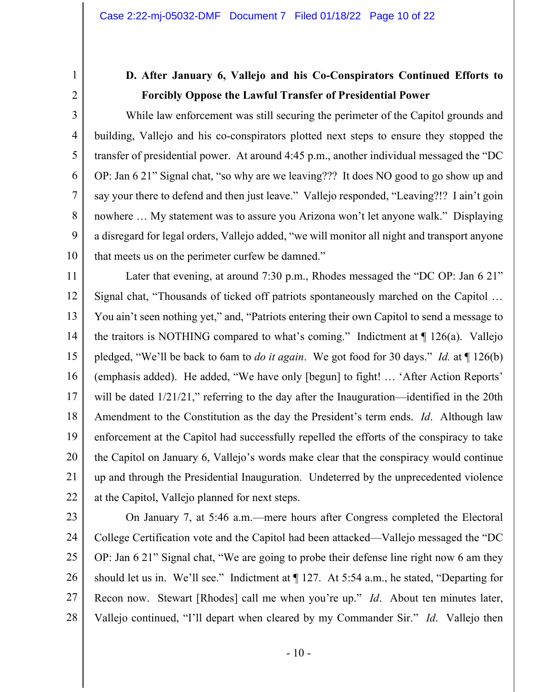3

4

5

6

7

8

9

10

## **D. After January 6, Vallejo and his Co-Conspirators Continued Efforts to Forcibly Oppose the Lawful Transfer of Presidential Power**

While law enforcement was still securing the perimeter of the Capitol grounds and building, Vallejo and his co-conspirators plotted next steps to ensure they stopped the transfer of presidential power. At around 4:45 p.m., another individual messaged the "DC OP: Jan 6 21" Signal chat, "so why are we leaving??? It does NO good to go show up and say your there to defend and then just leave." Vallejo responded, "Leaving?!? I ain't goin nowhere … My statement was to assure you Arizona won't let anyone walk." Displaying a disregard for legal orders, Vallejo added, "we will monitor all night and transport anyone that meets us on the perimeter curfew be damned."

11 12 13 14 15 16 17 18 19 20 21 22 Later that evening, at around 7:30 p.m., Rhodes messaged the "DC OP: Jan 6 21" Signal chat, "Thousands of ticked off patriots spontaneously marched on the Capitol … You ain't seen nothing yet," and, "Patriots entering their own Capitol to send a message to the traitors is NOTHING compared to what's coming." Indictment at  $\P$  126(a). Vallejo pledged, "We'll be back to 6am to *do it again*. We got food for 30 days." *Id.* at ¶ 126(b) (emphasis added). He added, "We have only [begun] to fight! … 'After Action Reports' will be dated  $1/21/21$ ," referring to the day after the Inauguration—identified in the 20th Amendment to the Constitution as the day the President's term ends. *Id*. Although law enforcement at the Capitol had successfully repelled the efforts of the conspiracy to take the Capitol on January 6, Vallejo's words make clear that the conspiracy would continue up and through the Presidential Inauguration. Undeterred by the unprecedented violence at the Capitol, Vallejo planned for next steps.

23 24 25 26 27 28 On January 7, at 5:46 a.m.—mere hours after Congress completed the Electoral College Certification vote and the Capitol had been attacked—Vallejo messaged the "DC OP: Jan 6 21" Signal chat, "We are going to probe their defense line right now 6 am they should let us in. We'll see." Indictment at ¶ 127. At 5:54 a.m., he stated, "Departing for Recon now. Stewart [Rhodes] call me when you're up." *Id*. About ten minutes later, Vallejo continued, "I'll depart when cleared by my Commander Sir." *Id*. Vallejo then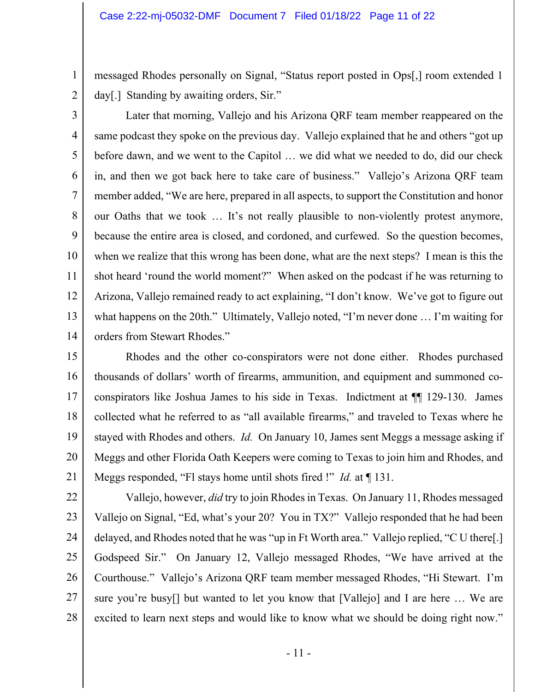messaged Rhodes personally on Signal, "Status report posted in Ops[,] room extended 1 day[.] Standing by awaiting orders, Sir."

2 3

1

4 5 6 7 8 9 10 11 12 13 14 Later that morning, Vallejo and his Arizona QRF team member reappeared on the same podcast they spoke on the previous day. Vallejo explained that he and others "got up before dawn, and we went to the Capitol … we did what we needed to do, did our check in, and then we got back here to take care of business." Vallejo's Arizona QRF team member added, "We are here, prepared in all aspects, to support the Constitution and honor our Oaths that we took … It's not really plausible to non-violently protest anymore, because the entire area is closed, and cordoned, and curfewed. So the question becomes, when we realize that this wrong has been done, what are the next steps? I mean is this the shot heard 'round the world moment?" When asked on the podcast if he was returning to Arizona, Vallejo remained ready to act explaining, "I don't know. We've got to figure out what happens on the 20th." Ultimately, Vallejo noted, "I'm never done … I'm waiting for orders from Stewart Rhodes."

15 16 17 18 19 20 21 Rhodes and the other co-conspirators were not done either. Rhodes purchased thousands of dollars' worth of firearms, ammunition, and equipment and summoned coconspirators like Joshua James to his side in Texas. Indictment at ¶¶ 129-130. James collected what he referred to as "all available firearms," and traveled to Texas where he stayed with Rhodes and others. *Id.* On January 10, James sent Meggs a message asking if Meggs and other Florida Oath Keepers were coming to Texas to join him and Rhodes, and Meggs responded, "Fl stays home until shots fired !" *Id.* at ¶ 131.

22 23 24 25 26 27 28 Vallejo, however, *did* try to join Rhodes in Texas. On January 11, Rhodes messaged Vallejo on Signal, "Ed, what's your 20? You in TX?" Vallejo responded that he had been delayed, and Rhodes noted that he was "up in Ft Worth area." Vallejo replied, "C U there[.] Godspeed Sir." On January 12, Vallejo messaged Rhodes, "We have arrived at the Courthouse." Vallejo's Arizona QRF team member messaged Rhodes, "Hi Stewart. I'm sure you're busy[] but wanted to let you know that [Vallejo] and I are here … We are excited to learn next steps and would like to know what we should be doing right now."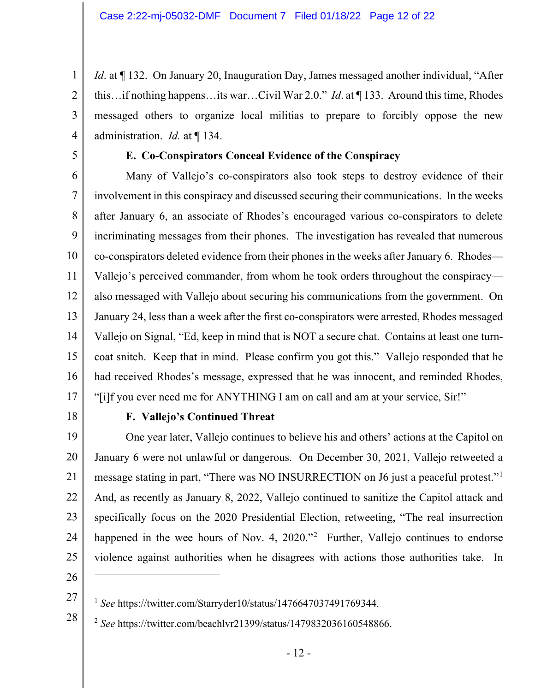*Id.* at ¶ 132. On January 20, Inauguration Day, James messaged another individual, "After this…if nothing happens…its war…Civil War 2.0." *Id*. at ¶ 133. Around this time, Rhodes messaged others to organize local militias to prepare to forcibly oppose the new administration. *Id.* at ¶ 134.

5

1

2

3

4

### **E. Co-Conspirators Conceal Evidence of the Conspiracy**

6 7 8 9 10 11 12 13 14 15 16 17 Many of Vallejo's co-conspirators also took steps to destroy evidence of their involvement in this conspiracy and discussed securing their communications. In the weeks after January 6, an associate of Rhodes's encouraged various co-conspirators to delete incriminating messages from their phones. The investigation has revealed that numerous co-conspirators deleted evidence from their phones in the weeks after January 6. Rhodes— Vallejo's perceived commander, from whom he took orders throughout the conspiracy also messaged with Vallejo about securing his communications from the government. On January 24, less than a week after the first co-conspirators were arrested, Rhodes messaged Vallejo on Signal, "Ed, keep in mind that is NOT a secure chat. Contains at least one turncoat snitch. Keep that in mind. Please confirm you got this." Vallejo responded that he had received Rhodes's message, expressed that he was innocent, and reminded Rhodes, "[i]f you ever need me for ANYTHING I am on call and am at your service, Sir!"

18

### **F. Vallejo's Continued Threat**

19 20 21 22 23 24 25 One year later, Vallejo continues to believe his and others' actions at the Capitol on January 6 were not unlawful or dangerous. On December 30, 2021, Vallejo retweeted a message stating in part, "There was NO INSURRECTION on J6 just a peaceful protest."[1](#page-11-0) And, as recently as January 8, 2022, Vallejo continued to sanitize the Capitol attack and specifically focus on the 2020 Presidential Election, retweeting, "The real insurrection happened in the wee hours of Nov. 4, [2](#page-11-1)020."<sup>2</sup> Further, Vallejo continues to endorse violence against authorities when he disagrees with actions those authorities take. In

26 27

<span id="page-11-1"></span><span id="page-11-0"></span>28

<sup>1</sup> *See* https://twitter.com/Starryder10/status/1476647037491769344.

<sup>2</sup> *See* https://twitter.com/beachlvr21399/status/1479832036160548866.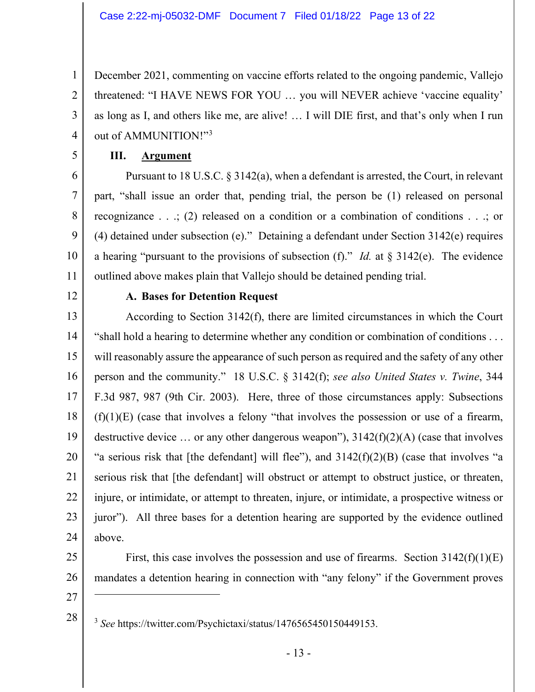December 2021, commenting on vaccine efforts related to the ongoing pandemic, Vallejo threatened: "I HAVE NEWS FOR YOU … you will NEVER achieve 'vaccine equality' as long as I, and others like me, are alive! … I will DIE first, and that's only when I run out of AMMUNITION!"<sup>[3](#page-12-0)</sup>

5

1

2

3

4

## **III. Argument**

6 7 8 9 10 11 Pursuant to 18 U.S.C. § 3142(a), when a defendant is arrested, the Court, in relevant part, "shall issue an order that, pending trial, the person be (1) released on personal recognizance . . .; (2) released on a condition or a combination of conditions . . .; or (4) detained under subsection (e)." Detaining a defendant under Section 3142(e) requires a hearing "pursuant to the provisions of subsection (f)." *Id.* at § 3142(e). The evidence outlined above makes plain that Vallejo should be detained pending trial.

12

### **A. Bases for Detention Request**

13 14 15 16 17 18 19 20 21 22 23 24 According to Section 3142(f), there are limited circumstances in which the Court "shall hold a hearing to determine whether any condition or combination of conditions . . . will reasonably assure the appearance of such person as required and the safety of any other person and the community." 18 U.S.C. § 3142(f); *see also United States v. Twine*, 344 F.3d 987, 987 (9th Cir. 2003). Here, three of those circumstances apply: Subsections  $(f)(1)(E)$  (case that involves a felony "that involves the possession or use of a firearm, destructive device ... or any other dangerous weapon"),  $3142(f)(2)(A)$  (case that involves "a serious risk that [the defendant] will flee"), and  $3142(f)(2)(B)$  (case that involves "a serious risk that [the defendant] will obstruct or attempt to obstruct justice, or threaten, injure, or intimidate, or attempt to threaten, injure, or intimidate, a prospective witness or juror"). All three bases for a detention hearing are supported by the evidence outlined above.

- 25
- 26

First, this case involves the possession and use of firearms. Section  $3142(f)(1)(E)$ mandates a detention hearing in connection with "any felony" if the Government proves

27

<span id="page-12-0"></span>28

<sup>3</sup> *See* https://twitter.com/Psychictaxi/status/1476565450150449153.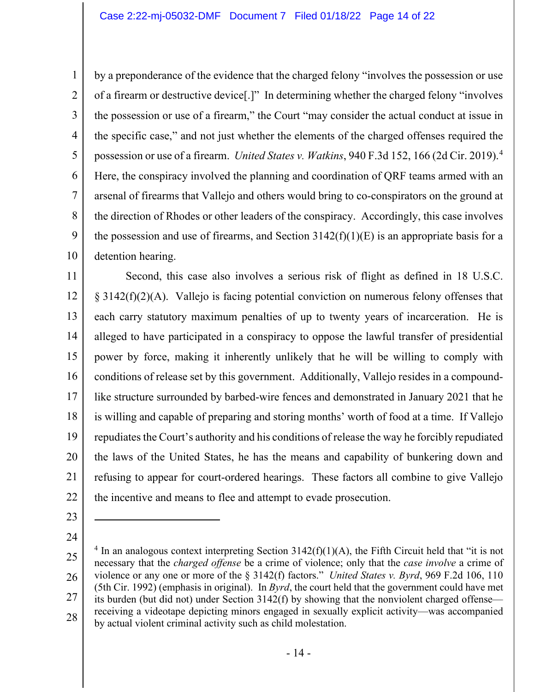1 2 3 4 5 6 7 8 9 10 by a preponderance of the evidence that the charged felony "involves the possession or use of a firearm or destructive device[.]" In determining whether the charged felony "involves the possession or use of a firearm," the Court "may consider the actual conduct at issue in the specific case," and not just whether the elements of the charged offenses required the possession or use of a firearm. *United States v. Watkins*, 940 F.3d 152, 166 (2d Cir. 2019).[4](#page-13-0) Here, the conspiracy involved the planning and coordination of QRF teams armed with an arsenal of firearms that Vallejo and others would bring to co-conspirators on the ground at the direction of Rhodes or other leaders of the conspiracy. Accordingly, this case involves the possession and use of firearms, and Section  $3142(f)(1)(E)$  is an appropriate basis for a detention hearing.

11 12 13 14 15 16 17 18 19 20 21 22 Second, this case also involves a serious risk of flight as defined in 18 U.S.C. § 3142(f)(2)(A). Vallejo is facing potential conviction on numerous felony offenses that each carry statutory maximum penalties of up to twenty years of incarceration. He is alleged to have participated in a conspiracy to oppose the lawful transfer of presidential power by force, making it inherently unlikely that he will be willing to comply with conditions of release set by this government. Additionally, Vallejo resides in a compoundlike structure surrounded by barbed-wire fences and demonstrated in January 2021 that he is willing and capable of preparing and storing months' worth of food at a time. If Vallejo repudiates the Court's authority and his conditions of release the way he forcibly repudiated the laws of the United States, he has the means and capability of bunkering down and refusing to appear for court-ordered hearings. These factors all combine to give Vallejo the incentive and means to flee and attempt to evade prosecution.

- 23
- 24

<span id="page-13-0"></span><sup>25</sup> 26 27 28  $4 \text{ In an analogous context interpreting Section } 3142(f)(1)(A)$ , the Fifth Circuit held that "it is not necessary that the *charged offense* be a crime of violence; only that the *case involve* a crime of violence or any one or more of the § 3142(f) factors." *United States v. Byrd*, 969 F.2d 106, 110 (5th Cir. 1992) (emphasis in original). In *Byrd*, the court held that the government could have met its burden (but did not) under Section 3142(f) by showing that the nonviolent charged offense receiving a videotape depicting minors engaged in sexually explicit activity—was accompanied by actual violent criminal activity such as child molestation.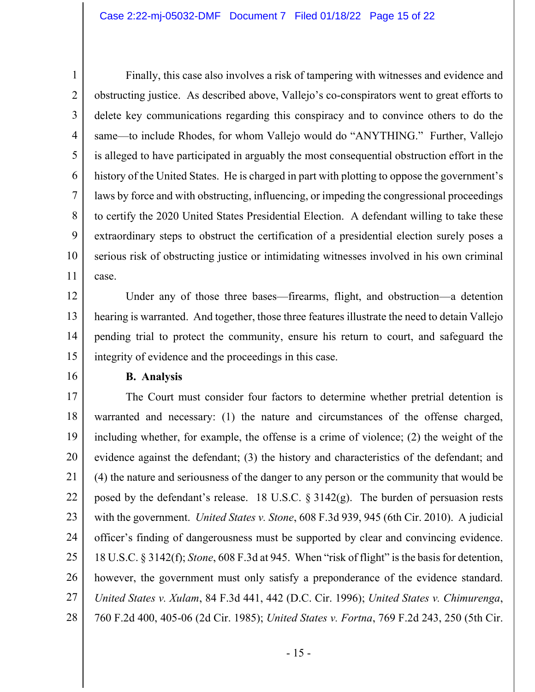1 2 3 4 5 6 7 8 9 10 11 Finally, this case also involves a risk of tampering with witnesses and evidence and obstructing justice. As described above, Vallejo's co-conspirators went to great efforts to delete key communications regarding this conspiracy and to convince others to do the same—to include Rhodes, for whom Vallejo would do "ANYTHING." Further, Vallejo is alleged to have participated in arguably the most consequential obstruction effort in the history of the United States. He is charged in part with plotting to oppose the government's laws by force and with obstructing, influencing, or impeding the congressional proceedings to certify the 2020 United States Presidential Election. A defendant willing to take these extraordinary steps to obstruct the certification of a presidential election surely poses a serious risk of obstructing justice or intimidating witnesses involved in his own criminal case.

12 13 14 15 Under any of those three bases—firearms, flight, and obstruction—a detention hearing is warranted. And together, those three features illustrate the need to detain Vallejo pending trial to protect the community, ensure his return to court, and safeguard the integrity of evidence and the proceedings in this case.

16

#### **B. Analysis**

17 18 19 20 21 22 23 24 25 26 27 28 The Court must consider four factors to determine whether pretrial detention is warranted and necessary: (1) the nature and circumstances of the offense charged, including whether, for example, the offense is a crime of violence; (2) the weight of the evidence against the defendant; (3) the history and characteristics of the defendant; and (4) the nature and seriousness of the danger to any person or the community that would be posed by the defendant's release. 18 U.S.C.  $\S 3142(g)$ . The burden of persuasion rests with the government. *United States v. Stone*, 608 F.3d 939, 945 (6th Cir. 2010). A judicial officer's finding of dangerousness must be supported by clear and convincing evidence. 18 U.S.C. § 3142(f); *Stone*, 608 F.3d at 945. When "risk of flight" is the basis for detention, however, the government must only satisfy a preponderance of the evidence standard. *United States v. Xulam*, 84 F.3d 441, 442 (D.C. Cir. 1996); *United States v. Chimurenga*, 760 F.2d 400, 405-06 (2d Cir. 1985); *United States v. Fortna*, 769 F.2d 243, 250 (5th Cir.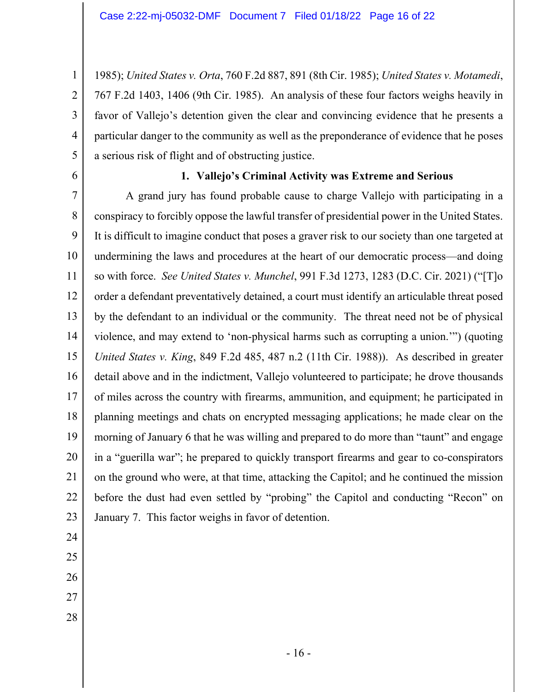1985); *United States v. Orta*, 760 F.2d 887, 891 (8th Cir. 1985); *United States v. Motamedi*, 767 F.2d 1403, 1406 (9th Cir. 1985). An analysis of these four factors weighs heavily in favor of Vallejo's detention given the clear and convincing evidence that he presents a particular danger to the community as well as the preponderance of evidence that he poses a serious risk of flight and of obstructing justice.

6

1

2

3

4

5

### **1. Vallejo's Criminal Activity was Extreme and Serious**

7 8 9 10 11 12 13 14 15 16 17 18 19 20 21 22 23 A grand jury has found probable cause to charge Vallejo with participating in a conspiracy to forcibly oppose the lawful transfer of presidential power in the United States. It is difficult to imagine conduct that poses a graver risk to our society than one targeted at undermining the laws and procedures at the heart of our democratic process—and doing so with force. *See United States v. Munchel*, 991 F.3d 1273, 1283 (D.C. Cir. 2021) ("[T]o order a defendant preventatively detained, a court must identify an articulable threat posed by the defendant to an individual or the community. The threat need not be of physical violence, and may extend to 'non-physical harms such as corrupting a union.'") (quoting *United States v. King*, 849 F.2d 485, 487 n.2 (11th Cir. 1988)). As described in greater detail above and in the indictment, Vallejo volunteered to participate; he drove thousands of miles across the country with firearms, ammunition, and equipment; he participated in planning meetings and chats on encrypted messaging applications; he made clear on the morning of January 6 that he was willing and prepared to do more than "taunt" and engage in a "guerilla war"; he prepared to quickly transport firearms and gear to co-conspirators on the ground who were, at that time, attacking the Capitol; and he continued the mission before the dust had even settled by "probing" the Capitol and conducting "Recon" on January 7. This factor weighs in favor of detention.

- 24
- 25
- 26
- 27
- 28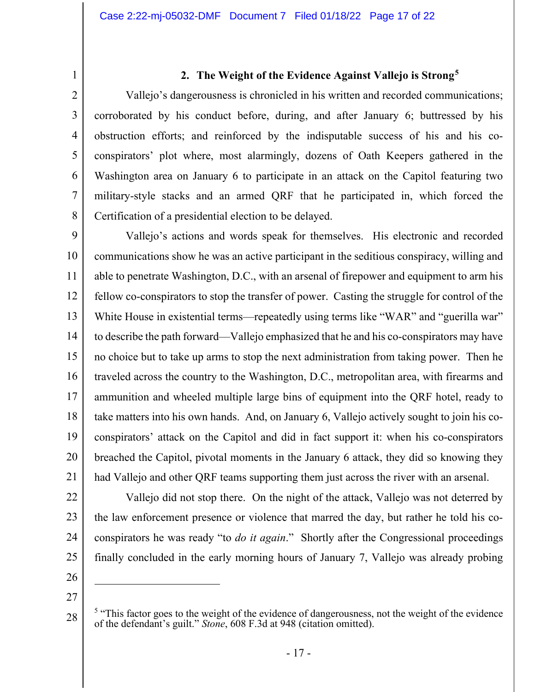3

4

5

6

7

8

## **2. The Weight of the Evidence Against Vallejo is Strong[5](#page-16-0)**

Vallejo's dangerousness is chronicled in his written and recorded communications; corroborated by his conduct before, during, and after January 6; buttressed by his obstruction efforts; and reinforced by the indisputable success of his and his coconspirators' plot where, most alarmingly, dozens of Oath Keepers gathered in the Washington area on January 6 to participate in an attack on the Capitol featuring two military-style stacks and an armed QRF that he participated in, which forced the Certification of a presidential election to be delayed.

9 10 11 12 13 14 15 16 17 18 19 20 21 Vallejo's actions and words speak for themselves. His electronic and recorded communications show he was an active participant in the seditious conspiracy, willing and able to penetrate Washington, D.C., with an arsenal of firepower and equipment to arm his fellow co-conspirators to stop the transfer of power. Casting the struggle for control of the White House in existential terms—repeatedly using terms like "WAR" and "guerilla war" to describe the path forward—Vallejo emphasized that he and his co-conspirators may have no choice but to take up arms to stop the next administration from taking power. Then he traveled across the country to the Washington, D.C., metropolitan area, with firearms and ammunition and wheeled multiple large bins of equipment into the QRF hotel, ready to take matters into his own hands. And, on January 6, Vallejo actively sought to join his coconspirators' attack on the Capitol and did in fact support it: when his co-conspirators breached the Capitol, pivotal moments in the January 6 attack, they did so knowing they had Vallejo and other QRF teams supporting them just across the river with an arsenal.

- 22
- 23
- 24
- 25 26
- 27

<span id="page-16-0"></span>28

Vallejo did not stop there. On the night of the attack, Vallejo was not deterred by

the law enforcement presence or violence that marred the day, but rather he told his co-

conspirators he was ready "to *do it again*." Shortly after the Congressional proceedings

finally concluded in the early morning hours of January 7, Vallejo was already probing

 $5$  "This factor goes to the weight of the evidence of dangerousness, not the weight of the evidence of the defendant's guilt." *Stone*, 608 F.3d at 948 (citation omitted).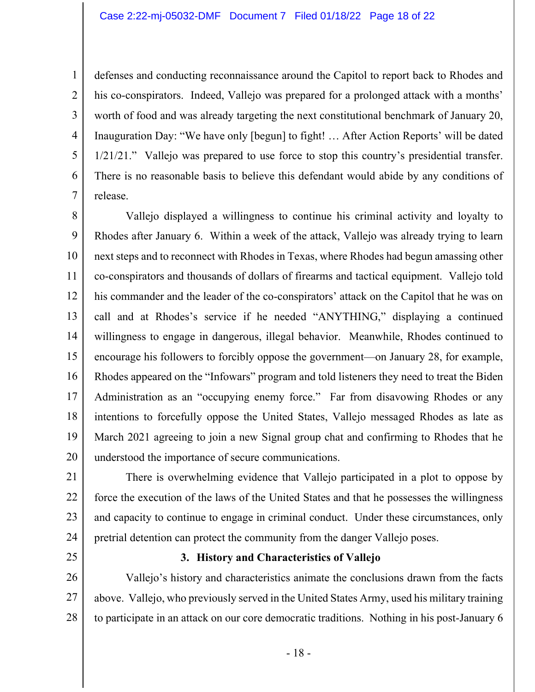#### Case 2:22-mj-05032-DMF Document 7 Filed 01/18/22 Page 18 of 22

defenses and conducting reconnaissance around the Capitol to report back to Rhodes and his co-conspirators. Indeed, Vallejo was prepared for a prolonged attack with a months' worth of food and was already targeting the next constitutional benchmark of January 20, Inauguration Day: "We have only [begun] to fight! … After Action Reports' will be dated 1/21/21." Vallejo was prepared to use force to stop this country's presidential transfer. There is no reasonable basis to believe this defendant would abide by any conditions of release.

8 9 10 11 12 13 14 15 16 17 18 19 20 Vallejo displayed a willingness to continue his criminal activity and loyalty to Rhodes after January 6. Within a week of the attack, Vallejo was already trying to learn next steps and to reconnect with Rhodes in Texas, where Rhodes had begun amassing other co-conspirators and thousands of dollars of firearms and tactical equipment. Vallejo told his commander and the leader of the co-conspirators' attack on the Capitol that he was on call and at Rhodes's service if he needed "ANYTHING," displaying a continued willingness to engage in dangerous, illegal behavior. Meanwhile, Rhodes continued to encourage his followers to forcibly oppose the government—on January 28, for example, Rhodes appeared on the "Infowars" program and told listeners they need to treat the Biden Administration as an "occupying enemy force." Far from disavowing Rhodes or any intentions to forcefully oppose the United States, Vallejo messaged Rhodes as late as March 2021 agreeing to join a new Signal group chat and confirming to Rhodes that he understood the importance of secure communications.

21 22 23 24 There is overwhelming evidence that Vallejo participated in a plot to oppose by force the execution of the laws of the United States and that he possesses the willingness and capacity to continue to engage in criminal conduct. Under these circumstances, only pretrial detention can protect the community from the danger Vallejo poses.

25

1

2

3

4

5

6

7

#### **3. History and Characteristics of Vallejo**

26 27 28 Vallejo's history and characteristics animate the conclusions drawn from the facts above. Vallejo, who previously served in the United States Army, used his military training to participate in an attack on our core democratic traditions. Nothing in his post-January 6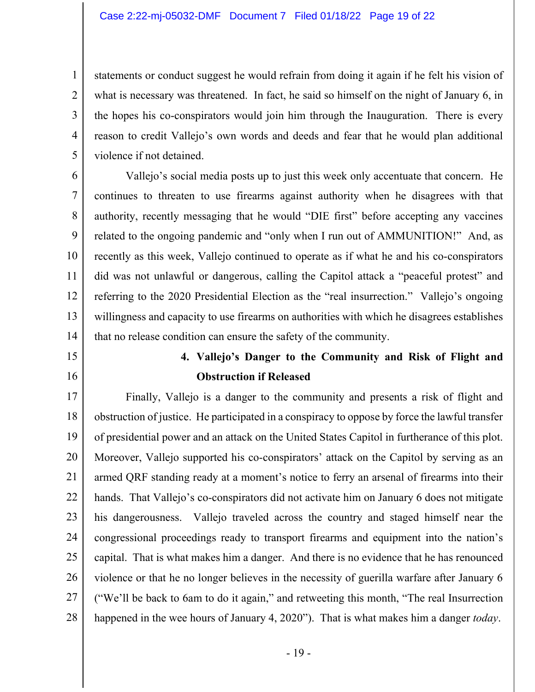statements or conduct suggest he would refrain from doing it again if he felt his vision of what is necessary was threatened. In fact, he said so himself on the night of January 6, in the hopes his co-conspirators would join him through the Inauguration. There is every reason to credit Vallejo's own words and deeds and fear that he would plan additional violence if not detained.

6 7 8 9 10 11 12 13 14 Vallejo's social media posts up to just this week only accentuate that concern. He continues to threaten to use firearms against authority when he disagrees with that authority, recently messaging that he would "DIE first" before accepting any vaccines related to the ongoing pandemic and "only when I run out of AMMUNITION!" And, as recently as this week, Vallejo continued to operate as if what he and his co-conspirators did was not unlawful or dangerous, calling the Capitol attack a "peaceful protest" and referring to the 2020 Presidential Election as the "real insurrection." Vallejo's ongoing willingness and capacity to use firearms on authorities with which he disagrees establishes that no release condition can ensure the safety of the community.

15

1

2

3

4

5

16

## **4. Vallejo's Danger to the Community and Risk of Flight and Obstruction if Released**

17 18 19 20 21 22 23 24 25 26 27 28 Finally, Vallejo is a danger to the community and presents a risk of flight and obstruction of justice. He participated in a conspiracy to oppose by force the lawful transfer of presidential power and an attack on the United States Capitol in furtherance of this plot. Moreover, Vallejo supported his co-conspirators' attack on the Capitol by serving as an armed QRF standing ready at a moment's notice to ferry an arsenal of firearms into their hands. That Vallejo's co-conspirators did not activate him on January 6 does not mitigate his dangerousness. Vallejo traveled across the country and staged himself near the congressional proceedings ready to transport firearms and equipment into the nation's capital. That is what makes him a danger. And there is no evidence that he has renounced violence or that he no longer believes in the necessity of guerilla warfare after January 6 ("We'll be back to 6am to do it again," and retweeting this month, "The real Insurrection happened in the wee hours of January 4, 2020"). That is what makes him a danger *today*.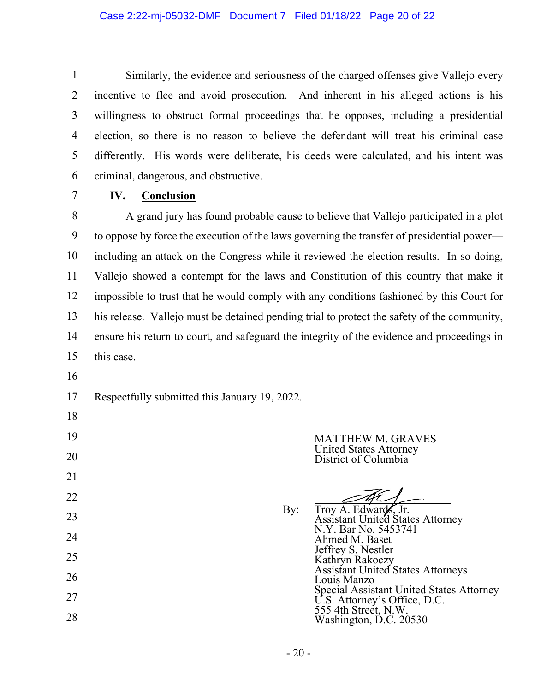Similarly, the evidence and seriousness of the charged offenses give Vallejo every incentive to flee and avoid prosecution. And inherent in his alleged actions is his willingness to obstruct formal proceedings that he opposes, including a presidential election, so there is no reason to believe the defendant will treat his criminal case differently. His words were deliberate, his deeds were calculated, and his intent was criminal, dangerous, and obstructive.

**IV. Conclusion**

8 9 10 11 12 13 14 15 A grand jury has found probable cause to believe that Vallejo participated in a plot to oppose by force the execution of the laws governing the transfer of presidential power including an attack on the Congress while it reviewed the election results. In so doing, Vallejo showed a contempt for the laws and Constitution of this country that make it impossible to trust that he would comply with any conditions fashioned by this Court for his release. Vallejo must be detained pending trial to protect the safety of the community, ensure his return to court, and safeguard the integrity of the evidence and proceedings in this case.

16

18

19

20

21

22

23

24

25

26

27

28

1

2

3

4

5

6

7

17 Respectfully submitted this January 19, 2022.

> MATTHEW M. GRAVES United States Attorney District of Columbia

By: Troy A. Edwards, Jr. Assistant United States Attorney N.Y. Bar No. 5453741 Ahmed M. Baset Jeffrey S. Nestler Kathryn Rakoczy Assistant United States Attorneys Louis Manzo Special Assistant United States Attorney U.S. Attorney's Office, D.C. 555 4th Street, N.W. Washington, D.C. 20530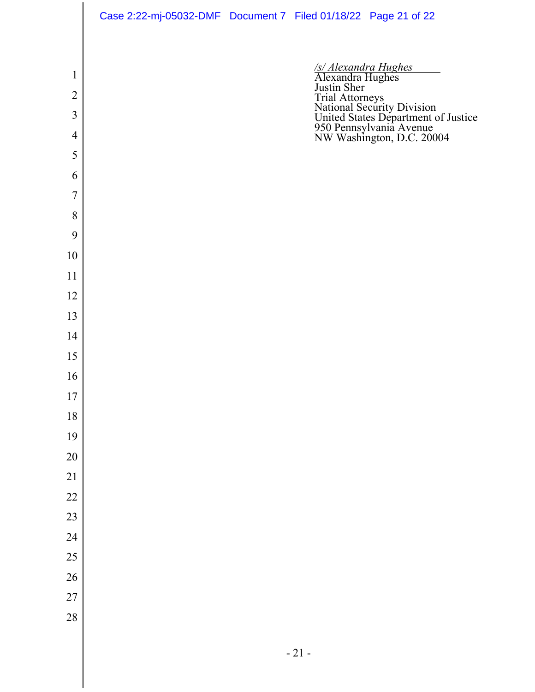|                     | Case 2:22-mj-05032-DMF  Document 7  Filed 01/18/22  Page 21 of 22 |  |                                                                                                                                                                                                         |
|---------------------|-------------------------------------------------------------------|--|---------------------------------------------------------------------------------------------------------------------------------------------------------------------------------------------------------|
|                     |                                                                   |  |                                                                                                                                                                                                         |
| $\mathbf{1}$        |                                                                   |  | /s/ Alexandra Hughes<br>Alexandra Hughes<br>Justin Sher<br>Trial Attorneys<br>National Security Division<br>United States Department of Justice<br>950 Pennsylvania Avenue<br>NW Washington, D.C. 20004 |
| $\overline{2}$      |                                                                   |  |                                                                                                                                                                                                         |
| 3<br>$\overline{4}$ |                                                                   |  |                                                                                                                                                                                                         |
| 5                   |                                                                   |  |                                                                                                                                                                                                         |
| 6                   |                                                                   |  |                                                                                                                                                                                                         |
| 7                   |                                                                   |  |                                                                                                                                                                                                         |
| 8                   |                                                                   |  |                                                                                                                                                                                                         |
| 9                   |                                                                   |  |                                                                                                                                                                                                         |
| 10                  |                                                                   |  |                                                                                                                                                                                                         |
| 11                  |                                                                   |  |                                                                                                                                                                                                         |
| 12                  |                                                                   |  |                                                                                                                                                                                                         |
| 13                  |                                                                   |  |                                                                                                                                                                                                         |
| 14                  |                                                                   |  |                                                                                                                                                                                                         |
| 15                  |                                                                   |  |                                                                                                                                                                                                         |
| 16                  |                                                                   |  |                                                                                                                                                                                                         |
| $17\,$              |                                                                   |  |                                                                                                                                                                                                         |
| 18                  |                                                                   |  |                                                                                                                                                                                                         |
| 19                  |                                                                   |  |                                                                                                                                                                                                         |
| $20\,$              |                                                                   |  |                                                                                                                                                                                                         |
| $21\,$              |                                                                   |  |                                                                                                                                                                                                         |
| 22<br>23            |                                                                   |  |                                                                                                                                                                                                         |
| 24                  |                                                                   |  |                                                                                                                                                                                                         |
| 25                  |                                                                   |  |                                                                                                                                                                                                         |
| 26                  |                                                                   |  |                                                                                                                                                                                                         |
| 27                  |                                                                   |  |                                                                                                                                                                                                         |
| 28                  |                                                                   |  |                                                                                                                                                                                                         |
|                     |                                                                   |  |                                                                                                                                                                                                         |